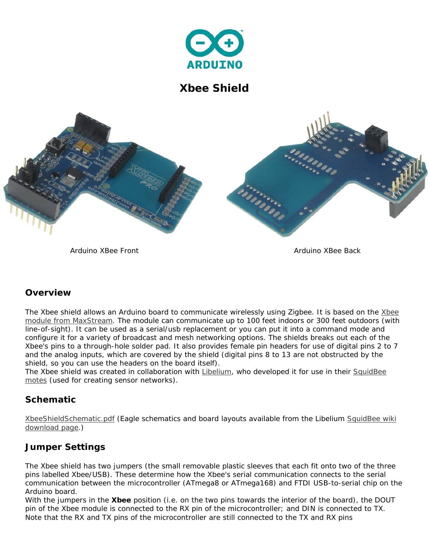

**Xbee Shield** 



*Arduino XBee Front Arduino XBee Back* 

## **Overview**

The Xbee shield allows an Arduino board to communicate wirelessly using Zigbee. It is based on the Xbee module from MaxStream. The module can communicate up to 100 feet indoors or 300 feet outdoors (with line-of-sight). It can be used as a serial/usb replacement or you can put it into a command mode and configure it for a variety of broadcast and mesh networking options. The shields breaks out each of the Xbee's pins to a through-hole solder pad. It also provides female pin headers for use of digital pins 2 to 7 and the analog inputs, which are covered by the shield (digital pins 8 to 13 are not obstructed by the shield, so you can use the headers on the board itself).

The Xbee shield was created in collaboration with Libelium, who developed it for use in their SquidBee motes (used for creating sensor networks).

## **Schematic**

XbeeShieldSchematic.pdf (Eagle schematics and board layouts available from the Libelium SquidBee wiki download page.)

# **Jumper Settings**

The Xbee shield has two jumpers (the small removable plastic sleeves that each fit onto two of the three pins labelled Xbee/USB). These determine how the Xbee's serial communication connects to the serial communication between the microcontroller (ATmega8 or ATmega168) and FTDI USB-to-serial chip on the Arduino board.

With the jumpers in the **Xbee** position (i.e. on the two pins towards the interior of the board), the DOUT pin of the Xbee module is connected to the RX pin of the microcontroller; and DIN is connected to TX. Note that the RX and TX pins of the microcontroller are still connected to the TX and RX pins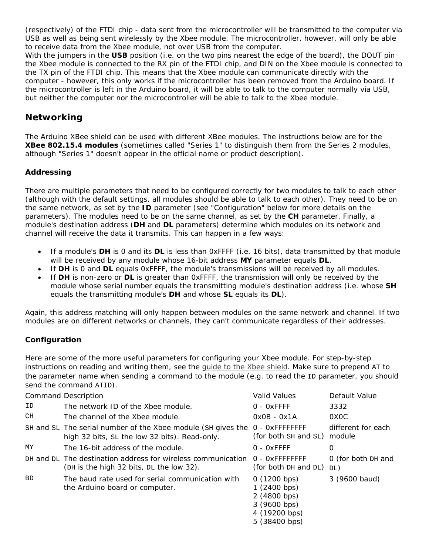(respectively) of the FTDI chip - data sent from the microcontroller will be transmitted to the computer via USB as well as being sent wirelessly by the Xbee module. The microcontroller, however, will only be able to receive data from the Xbee module, not over USB from the computer.

With the jumpers in the **USB** position (i.e. on the two pins nearest the edge of the board), the DOUT pin the Xbee module is connected to the RX pin of the *FTDI chip*, and DIN on the Xbee module is connected to the TX pin of the FTDI chip. This means that the Xbee module can communicate directly with the computer - however, *this only works if the microcontroller has been removed from the Arduino board*. If the microcontroller is left in the Arduino board, it will be able to talk to the computer normally via USB, but neither the computer nor the microcontroller will be able to talk to the Xbee module.

## **Networking**

The Arduino XBee shield can be used with different XBee modules. The instructions below are for the **XBee 802.15.4 modules** (sometimes called "Series 1" to distinguish them from the Series 2 modules, although "Series 1" doesn't appear in the official name or product description).

### **Addressing**

There are multiple parameters that need to be configured correctly for two modules to talk to each other (although with the default settings, all modules should be able to talk to each other). They need to be on the same network, as set by the **ID** parameter (see "Configuration" below for more details on the parameters). The modules need to be on the same channel, as set by the **CH** parameter. Finally, a module's destination address (**DH** and **DL** parameters) determine which modules on its network and channel will receive the data it transmits. This can happen in a few ways:

- If a module's **DH** is 0 and its **DL** is less than 0xFFFF (i.e. 16 bits), data transmitted by that module will be received by any module whose 16-bit address **MY** parameter equals **DL**.
- If **DH** is 0 and **DL** equals 0xFFFF, the module's transmissions will be received by all modules.
- If **DH** is non-zero or **DL** is greater than 0xFFFF, the transmission will only be received by the module whose serial number equals the transmitting module's destination address (i.e. whose **SH** equals the transmitting module's **DH** and whose **SL** equals its **DL**).

Again, this address matching will only happen between modules on the same network and channel. If two modules are on different networks or channels, they can't communicate regardless of their addresses.

## **Configuration**

Here are some of the more useful parameters for configuring your Xbee module. For step-by-step instructions on reading and writing them, see the guide to the Xbee shield. Make sure to prepend AT to the parameter name when sending a command to the module (e.g. to read the ID parameter, you should send the command ATID).

| <b>Command Description</b> |                                                                                                               | Valid Values                                                                                 | Default Value                |
|----------------------------|---------------------------------------------------------------------------------------------------------------|----------------------------------------------------------------------------------------------|------------------------------|
| ID                         | The network ID of the Xbee module.                                                                            | $0 - 0x$ FFFF                                                                                | 3332                         |
| CH.                        | The channel of the Xbee module.                                                                               | $0x0B - 0x1A$                                                                                | 0X <sub>0</sub> C            |
|                            | SH and SL The serial number of the Xbee module (SH gives the<br>high 32 bits, SL the low 32 bits). Read-only. | 0 - OXFFFFFFFF<br>(for both SH and SL)                                                       | different for each<br>module |
| ΜY                         | The 16-bit address of the module.                                                                             | $0 - 0x$ FFFF                                                                                | 0                            |
|                            | DH and DL The destination address for wireless communication<br>(DH is the high 32 bits, DL the low 32).      | 0 - OXFFFFFFFF<br>(for both DH and DL)                                                       | 0 (for both DH and<br>DL)    |
| <b>BD</b>                  | The baud rate used for serial communication with<br>the Arduino board or computer.                            | 0(1200 bps)<br>1(2400 bps)<br>2 (4800 bps)<br>3 (9600 bps)<br>4 (19200 bps)<br>5 (38400 bps) | 3 (9600 baud)                |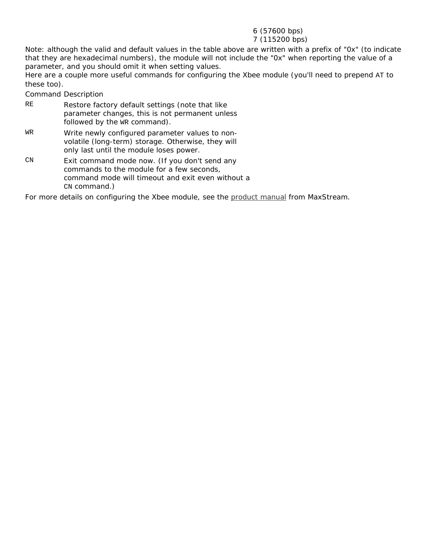#### 6 (57600 bps)

#### 7 (115200 bps)

Note: although the valid and default values in the table above are written with a prefix of "0x" (to indicate that they are hexadecimal numbers), the module will not include the "0x" when reporting the value of a parameter, and you should omit it when setting values.

Here are a couple more useful commands for configuring the Xbee module (you'll need to prepend AT to these too).

*Command Description*

- RE Restore factory default settings (note that like parameter changes, this is not permanent unless followed by the WR command).
- WR Write newly configured parameter values to nonvolatile (long-term) storage. Otherwise, they will only last until the module loses power.
- CN Exit command mode now. (If you don't send any commands to the module for a few seconds, command mode will timeout and exit even without a CN command.)

For more details on configuring the Xbee module, see the product manual from MaxStream.